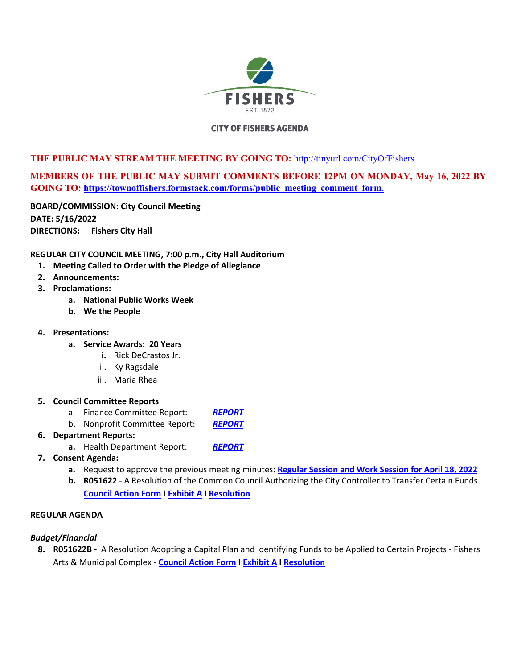

# **CITY OF FISHERS AGENDA**

# **THE PUBLIC MAY STREAM THE MEETING BY GOING TO:** <http://tinyurl.com/CityOfFishers>

# **MEMBERS OF THE PUBLIC MAY SUBMIT COMMENTS BEFORE 12PM ON MONDAY, May 16, 2022 BY GOING TO: [https://townoffishers.formstack.com/forms/public\\_meeting\\_comment\\_form.](https://townoffishers.formstack.com/forms/public_meeting_comment_form)**

**BOARD/COMMISSION: City Council Meeting DATE: 5/16/2022 DIRECTIONS: [Fishers City Hall](http://www.fishers.in.us/Facilities/Facility/Details/Fishers-Town-Hall-29)**

# **REGULAR CITY COUNCIL MEETING, 7:00 p.m., City Hall Auditorium**

- **1. Meeting Called to Order with the Pledge of Allegiance**
- **2. Announcements:**
- **3. Proclamations:** 
	- **a. National Public Works Week**
	- **b. We the People**
- **4. Presentations:** 
	- **a. Service Awards: 20 Years** 
		- **i.** Rick DeCrastos Jr.
		- ii. Ky Ragsdale
		- iii. Maria Rhea

#### **5. Council Committee Reports**

- a. Finance Committee Report: *[REPORT](https://www.fishers.in.us/DocumentCenter/View/30488/Finance-Committee-Meeting-Report---05-16-2022)*
- b. Nonprofit Committee Report: *[REPORT](https://www.fishers.in.us/DocumentCenter/View/30502/Non-Profit-Committee-Report-April-26-2022---05162022)*

#### **6. Department Reports:**

- **a.** Health Department Report: *[REPORT](https://www.fishers.in.us/DocumentCenter/View/30506/Health-Department-Update-51622)*
- **7. Consent Agenda:** 
	- **a.** Request to approve the previous meeting minutes: **[Regular Session and Work Session for April 18, 2022](https://www.fishers.in.us/DocumentCenter/View/30475/Minutes---04-18-2022)**
	- **b. R051622**  A Resolution of the Common Council Authorizing the City Controller to Transfer Certain Funds **[Council Action Form](https://www.fishers.in.us/DocumentCenter/View/30443/City-Funds-Transfers---Council-Action-Form---R051622) I [Exhibit A](https://www.fishers.in.us/DocumentCenter/View/30444/City-Funds-Transfers---Exhibit-A---R051622) I [Resolution](https://www.fishers.in.us/DocumentCenter/View/30445/City-Funds-Transfers---Resolution---R051622)**

#### **REGULAR AGENDA**

# *Budget/Financial*

**8. R051622B -** A Resolution Adopting a Capital Plan and Identifying Funds to be Applied to Certain Projects - Fishers Arts & Municipal Complex - **[Council Action Form](https://www.fishers.in.us/DocumentCenter/View/30505/Adopting-Capital-Plan---City-Hall-Project---Council-Action-Form---R051622B) [I Exhibit A](https://www.fishers.in.us/DocumentCenter/View/30481/Adopting-Capital-Plan---City-Hall-Project---Exhibit-A---R051622B) I [Resolution](https://www.fishers.in.us/DocumentCenter/View/30482/Adopting-Capital-Plan---City-Hall-Project---Resolution---R051622B)**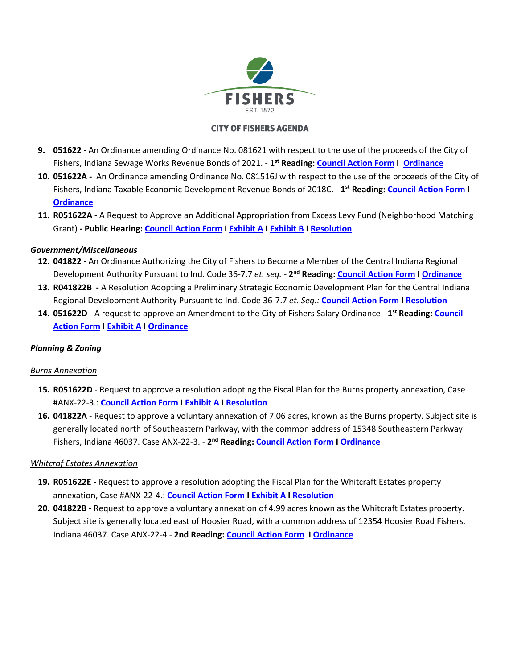

# **CITY OF FISHERS AGENDA**

- **9. 051622** An Ordinance amending Ordinance No. 081621 with respect to the use of the proceeds of the City of Fishers, Indiana Sewage Works Revenue Bonds of 2021. - **1 st Reading[: Council Action Form I](https://www.fishers.in.us/DocumentCenter/View/30486/2021-Sewage-Bonds-Bond-Ordinance-Amendment---Council-Action-Form---051622) [Ordinance](https://www.fishers.in.us/DocumentCenter/View/30487/2021-Sewage-Bonds-Bond-Ordinance-Amendment---Ordinance---051622)**
- **10. 051622A** An Ordinance amending Ordinance No. 081516J with respect to the use of the proceeds of the City of Fishers, Indiana Taxable Economic Development Revenue Bonds of 2018C. - **1 st Reading: [Council Action Form](https://www.fishers.in.us/DocumentCenter/View/30479/North-of-North-Bonds-Bond-Ordinance-Amendment---Council-Action-Form---051622A) I [Ordinance](https://www.fishers.in.us/DocumentCenter/View/30480/North-of-North-Bonds-Bond-Ordinance-Amendment---Ordinance---051622A)**
- **11. R051622A** A Request to Approve an Additional Appropriation from Excess Levy Fund (Neighborhood Matching Grant) **- Public Hearing[: Council Action Form](https://www.fishers.in.us/DocumentCenter/View/30484/Additional-Appropriation-of-Excess-Levy-Funds---Council-Action-Form---R051622A) I [Exhibit A](https://www.fishers.in.us/DocumentCenter/View/30498/Additional-Appropriation-of-Excess-Levy-Funds---Exhibit-A---R051622A) I [Exhibit B](https://www.fishers.in.us/DocumentCenter/View/30485/Additional-Appropriation-of-Excess-Levy-Funds---Exhibit-B---R051622A) I [Resolution](https://www.fishers.in.us/DocumentCenter/View/30497/Additional-Appropriation-of-Excess-Levy-Funds---Resolution---R051622A)**

# *Government/Miscellaneous*

- **12. 041822** An Ordinance Authorizing the City of Fishers to Become a Member of the Central Indiana Regional Development Authority Pursuant to Ind. Code 36-7.7 *et. seq. -* **2 nd Reading: [Council Action Form](https://www.fishers.in.us/DocumentCenter/View/30458/Member-of-the-Central-Indiana-Regional-Development-Authority---CAF---041822) I [Ordinance](https://www.fishers.in.us/DocumentCenter/View/30459/Member-of-the-Central-Indiana-Regional-Development-Authority---Ordinance---041822)**
- **13. R041822B** A Resolution Adopting a Preliminary Strategic Economic Development Plan for the Central Indiana Regional Development Authority Pursuant to Ind. Code 36-7.7 *et. Seq.:* **[Council Action Form](https://www.fishers.in.us/DocumentCenter/View/30464/Preliminary-Strategic-Economic-Development-for-the-Central-Indiana-Regional-Development-Authority---CAF---R041822B) [I Resolution](https://www.fishers.in.us/DocumentCenter/View/30424/Preliminary-Strategic-Economic-Development-for-the-Central-Indiana-Regional-Development-Authority---Resolution---R041822)**
- **14. 051622D** A request to approve an Amendment to the City of Fishers Salary Ordinance **1 st Reading: [Council](https://www.fishers.in.us/DocumentCenter/View/30477/2022-Salary-Ord-Amendment---CAF-051622D-1)  [Action Form](https://www.fishers.in.us/DocumentCenter/View/30477/2022-Salary-Ord-Amendment---CAF-051622D-1) I [Exhibit A I](https://www.fishers.in.us/DocumentCenter/View/30478/2022-Salary-Ord-Amendment---Exhibit-A---051622D) [Ordinance](https://www.fishers.in.us/DocumentCenter/View/30476/2022-Salary-Ord-Amendment---Ordinance---051622D)**

# *Planning & Zoning*

# *Burns Annexation*

- **15. R051622D** Request to approve a resolution adopting the Fiscal Plan for the Burns property annexation, Case #ANX-22-3.: **[Council Action Form I](https://www.fishers.in.us/DocumentCenter/View/30440/Burns-Property-Fiscal-Plan---Council-Action-Form---R051622D) [Exhibit A](https://www.fishers.in.us/DocumentCenter/View/30441/Burns-Property-Fiscal-Plan---Fiscal-Plan---R051622D) [I Resolution](https://www.fishers.in.us/DocumentCenter/View/30442/Burns-Property-Fiscal-Plan---Resolution---R051622D)**
- **16. 041822A** Request to approve a voluntary annexation of 7.06 acres, known as the Burns property. Subject site is generally located north of Southeastern Parkway, with the common address of 15348 Southeastern Parkway Fishers, Indiana 46037. Case ANX-22-3. - 2<sup>nd</sup> Reading[: Council Action Form I](https://www.fishers.in.us/DocumentCenter/View/30438/Burns-Property-Annex---Council-Action-Form---041822A---Final-Reading) [Ordinance](https://www.fishers.in.us/DocumentCenter/View/30439/Burns-Property-Annex---Ordinance---041822A---Final-Reading)

# *Whitcraf Estates Annexation*

- **19. R051622E** Request to approve a resolution adopting the Fiscal Plan for the Whitcraft Estates property annexation, Case #ANX-22-4.: **[Council Action Form](https://www.fishers.in.us/DocumentCenter/View/30430/Whitcraft-Estates-Fiscal-Plan---Council-Action-Form---R051622E) I [Exhibit A](https://www.fishers.in.us/DocumentCenter/View/30431/Whitcraft-Estates-Fiscal-Plan---Fiscal-Plan---R051622E) [I Resolution](https://www.fishers.in.us/DocumentCenter/View/30432/Whitcraft-Estates-Fiscal-Plan---Resolution---R051622E)**
- **20. 041822B** Request to approve a voluntary annexation of 4.99 acres known as the Whitcraft Estates property. Subject site is generally located east of Hoosier Road, with a common address of 12354 Hoosier Road Fishers, Indiana 46037. Case ANX-22-4 - **2nd Reading[: Council Action Form](https://www.fishers.in.us/DocumentCenter/View/30428/Whitcraft-Estates-Annex---Council-Action-Form---041822B---Final-Reading) I [Ordinance](https://www.fishers.in.us/DocumentCenter/View/30429/Whitcraft-Estates-Annex---Ordinance---041822B---Final-Reading)**